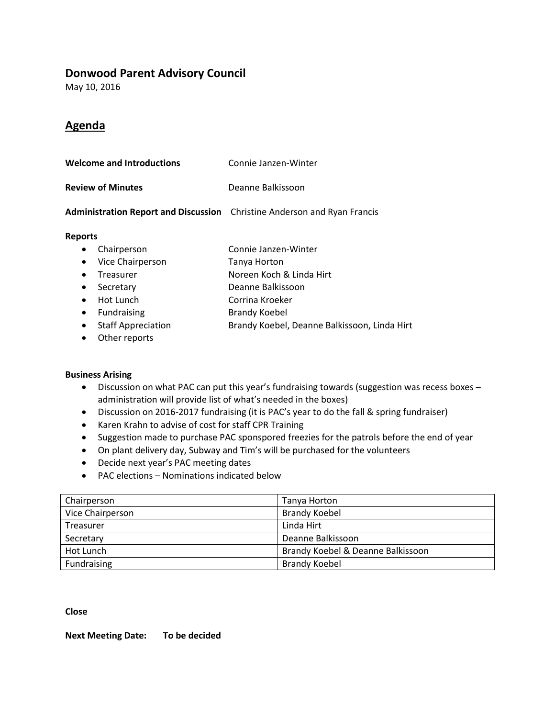## **Donwood Parent Advisory Council**

May 10, 2016

# **Agenda**

| Welcome and Introductions | Connie Janzen-Winter |
|---------------------------|----------------------|
| <b>Review of Minutes</b>  | Deanne Balkissoon    |

### **Administration Report and Discussion** Christine Anderson and Ryan Francis

#### **Reports**

|           | • Chairperson               | Connie Janzen-Winter           |
|-----------|-----------------------------|--------------------------------|
|           | • Vice Chairperson          | Tanya Horton                   |
| $\bullet$ | Treasurer                   | Noreen Koch & Linda Hirt       |
| $\bullet$ | Secretary                   | Deanne Balkissoon              |
|           | • Hot Lunch                 | Corrina Kroeker                |
|           | • Fundraising               | <b>Brandy Koebel</b>           |
|           | <b>A</b> Staff Annreciption | Brandy Koehel Deanne Balkisson |

- Staff Appreciation **Brandy Koebel, Deanne Balkissoon, Linda Hirt**
- Other reports

#### **Business Arising**

- Discussion on what PAC can put this year's fundraising towards (suggestion was recess boxes administration will provide list of what's needed in the boxes)
- Discussion on 2016-2017 fundraising (it is PAC's year to do the fall & spring fundraiser)
- Karen Krahn to advise of cost for staff CPR Training
- Suggestion made to purchase PAC sponspored freezies for the patrols before the end of year
- On plant delivery day, Subway and Tim's will be purchased for the volunteers
- Decide next year's PAC meeting dates
- PAC elections Nominations indicated below

| Chairperson      | Tanya Horton                      |
|------------------|-----------------------------------|
| Vice Chairperson | <b>Brandy Koebel</b>              |
| Treasurer        | Linda Hirt                        |
| Secretary        | Deanne Balkissoon                 |
| Hot Lunch        | Brandy Koebel & Deanne Balkissoon |
| Fundraising      | <b>Brandy Koebel</b>              |

**Close**

**Next Meeting Date: To be decided**